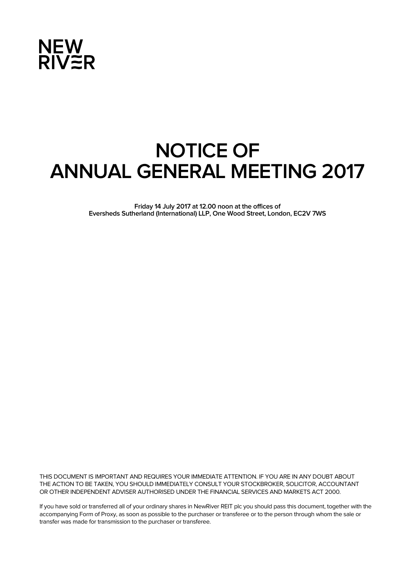

# **NOTICE OF ANNUAL GENERAL MEETING 2017**

**Friday 14 July 2017 at 12.00 noon at the offices of Eversheds Sutherland (International) LLP, One Wood Street, London, EC2V 7WS** 

THIS DOCUMENT IS IMPORTANT AND REQUIRES YOUR IMMEDIATE ATTENTION. IF YOU ARE IN ANY DOUBT ABOUT THE ACTION TO BE TAKEN, YOU SHOULD IMMEDIATELY CONSULT YOUR STOCKBROKER, SOLICITOR, ACCOUNTANT OR OTHER INDEPENDENT ADVISER AUTHORISED UNDER THE FINANCIAL SERVICES AND MARKETS ACT 2000.

If you have sold or transferred all of your ordinary shares in NewRiver REIT plc you should pass this document, together with the accompanying Form of Proxy, as soon as possible to the purchaser or transferee or to the person through whom the sale or transfer was made for transmission to the purchaser or transferee.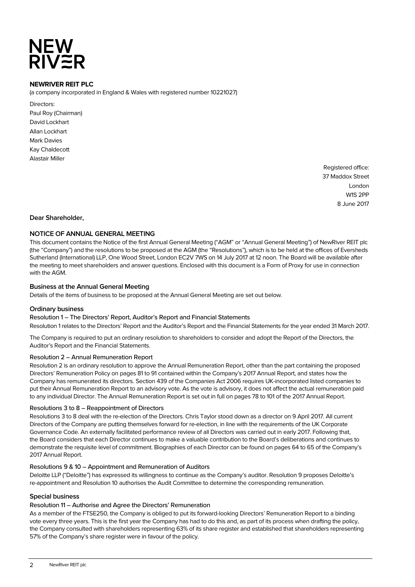# **NEW<br>RIV≋R**

# **NEWRIVER REIT PLC**

(a company incorporated in England & Wales with registered number 10221027)

Directors: Paul Roy (Chairman) David Lockhart Allan Lockhart Mark Davies Kay Chaldecott Alastair Miller

> Registered office: 37 Maddox Street London W1S 2PP 8 June 2017

# **Dear Shareholder,**

# **NOTICE OF ANNUAL GENERAL MEETING**

This document contains the Notice of the first Annual General Meeting ("AGM" or "Annual General Meeting") of NewRiver REIT plc (the "Company") and the resolutions to be proposed at the AGM (the "Resolutions"), which is to be held at the offices of Eversheds Sutherland (International) LLP, One Wood Street, London EC2V 7WS on 14 July 2017 at 12 noon. The Board will be available after the meeting to meet shareholders and answer questions. Enclosed with this document is a Form of Proxy for use in connection with the AGM.

# **Business at the Annual General Meeting**

Details of the items of business to be proposed at the Annual General Meeting are set out below.

#### **Ordinary business**

Resolution 1 – The Directors' Report, Auditor's Report and Financial Statements Resolution 1 relates to the Directors' Report and the Auditor's Report and the Financial Statements for the year ended 31 March 2017.

The Company is required to put an ordinary resolution to shareholders to consider and adopt the Report of the Directors, the Auditor's Report and the Financial Statements.

# Resolution 2 – Annual Remuneration Report

Resolution 2 is an ordinary resolution to approve the Annual Remuneration Report, other than the part containing the proposed Directors' Remuneration Policy on pages 81 to 91 contained within the Company's 2017 Annual Report, and states how the Company has remunerated its directors. Section 439 of the Companies Act 2006 requires UK-incorporated listed companies to put their Annual Remuneration Report to an advisory vote. As the vote is advisory, it does not affect the actual remuneration paid to any individual Director. The Annual Remuneration Report is set out in full on pages 78 to 101 of the 2017 Annual Report.

#### Resolutions 3 to 8 – Reappointment of Directors

Resolutions 3 to 8 deal with the re-election of the Directors. Chris Taylor stood down as a director on 9 April 2017. All current Directors of the Company are putting themselves forward for re-election, in line with the requirements of the UK Corporate Governance Code. An externally facilitated performance review of all Directors was carried out in early 2017. Following that, the Board considers that each Director continues to make a valuable contribution to the Board's deliberations and continues to demonstrate the requisite level of commitment. Biographies of each Director can be found on pages 64 to 65 of the Company's 2017 Annual Report.

#### Resolutions 9 & 10 – Appointment and Remuneration of Auditors

Deloitte LLP ("Deloitte") has expressed its willingness to continue as the Company's auditor. Resolution 9 proposes Deloitte's re-appointment and Resolution 10 authorises the Audit Committee to determine the corresponding remuneration.

#### **Special business**

#### Resolution 11 – Authorise and Agree the Directors' Remuneration

As a member of the FTSE250, the Company is obliged to put its forward-looking Directors' Remuneration Report to a binding vote every three years. This is the first year the Company has had to do this and, as part of its process when drafting the policy, the Company consulted with shareholders representing 63% of its share register and established that shareholders representing 57% of the Company's share register were in favour of the policy.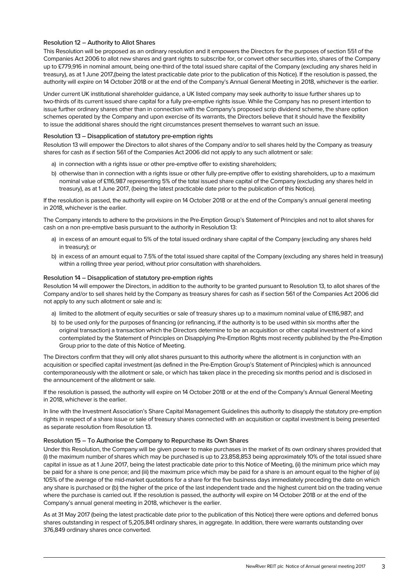# Resolution 12 – Authority to Allot Shares

This Resolution will be proposed as an ordinary resolution and it empowers the Directors for the purposes of section 551 of the Companies Act 2006 to allot new shares and grant rights to subscribe for, or convert other securities into, shares of the Company up to £779,916 in nominal amount, being one-third of the total issued share capital of the Company (excluding any shares held in treasury), as at 1 June 2017,(being the latest practicable date prior to the publication of this Notice). If the resolution is passed, the authority will expire on 14 October 2018 or at the end of the Company's Annual General Meeting in 2018, whichever is the earlier.

Under current UK institutional shareholder guidance, a UK listed company may seek authority to issue further shares up to two-thirds of its current issued share capital for a fully pre-emptive rights issue. While the Company has no present intention to issue further ordinary shares other than in connection with the Company's proposed scrip dividend scheme, the share option schemes operated by the Company and upon exercise of its warrants, the Directors believe that it should have the flexibility to issue the additional shares should the right circumstances present themselves to warrant such an issue.

#### Resolution 13 – Disapplication of statutory pre-emption rights

Resolution 13 will empower the Directors to allot shares of the Company and/or to sell shares held by the Company as treasury shares for cash as if section 561 of the Companies Act 2006 did not apply to any such allotment or sale:

- a) in connection with a rights issue or other pre-emptive offer to existing shareholders;
- b) otherwise than in connection with a rights issue or other fully pre-emptive offer to existing shareholders, up to a maximum nominal value of £116,987 representing 5% of the total issued share capital of the Company (excluding any shares held in treasury), as at 1 June 2017, (being the latest practicable date prior to the publication of this Notice).

If the resolution is passed, the authority will expire on 14 October 2018 or at the end of the Company's annual general meeting in 2018, whichever is the earlier.

The Company intends to adhere to the provisions in the Pre-Emption Group's Statement of Principles and not to allot shares for cash on a non pre-emptive basis pursuant to the authority in Resolution 13:

- a) in excess of an amount equal to 5% of the total issued ordinary share capital of the Company (excluding any shares held in treasury); or
- b) in excess of an amount equal to 7.5% of the total issued share capital of the Company (excluding any shares held in treasury) within a rolling three year period, without prior consultation with shareholders.

#### Resolution 14 – Disapplication of statutory pre-emption rights

Resolution 14 will empower the Directors, in addition to the authority to be granted pursuant to Resolution 13, to allot shares of the Company and/or to sell shares held by the Company as treasury shares for cash as if section 561 of the Companies Act 2006 did not apply to any such allotment or sale and is:

- a) limited to the allotment of equity securities or sale of treasury shares up to a maximum nominal value of £116,987; and
- b) to be used only for the purposes of financing (or refinancing, if the authority is to be used within six months after the original transaction) a transaction which the Directors determine to be an acquisition or other capital investment of a kind contemplated by the Statement of Principles on Disapplying Pre-Emption Rights most recently published by the Pre-Emption Group prior to the date of this Notice of Meeting.

The Directors confirm that they will only allot shares pursuant to this authority where the allotment is in conjunction with an acquisition or specified capital investment (as defined in the Pre-Emption Group's Statement of Principles) which is announced contemporaneously with the allotment or sale, or which has taken place in the preceding six months period and is disclosed in the announcement of the allotment or sale.

If the resolution is passed, the authority will expire on 14 October 2018 or at the end of the Company's Annual General Meeting in 2018, whichever is the earlier.

In line with the Investment Association's Share Capital Management Guidelines this authority to disapply the statutory pre-emption rights in respect of a share issue or sale of treasury shares connected with an acquisition or capital investment is being presented as separate resolution from Resolution 13.

#### Resolution 15 – To Authorise the Company to Repurchase its Own Shares

Under this Resolution, the Company will be given power to make purchases in the market of its own ordinary shares provided that (i) the maximum number of shares which may be purchased is up to 23,858,853 being approximately 10% of the total issued share capital in issue as at 1 June 2017, being the latest practicable date prior to this Notice of Meeting, (ii) the minimum price which may be paid for a share is one pence; and (iii) the maximum price which may be paid for a share is an amount equal to the higher of (a) 105% of the average of the mid-market quotations for a share for the five business days immediately preceding the date on which any share is purchased or (b) the higher of the price of the last independent trade and the highest current bid on the trading venue where the purchase is carried out. If the resolution is passed, the authority will expire on 14 October 2018 or at the end of the Company's annual general meeting in 2018, whichever is the earlier.

As at 31 May 2017 (being the latest practicable date prior to the publication of this Notice) there were options and deferred bonus shares outstanding in respect of 5,205,841 ordinary shares, in aggregate. In addition, there were warrants outstanding over 376,849 ordinary shares once converted.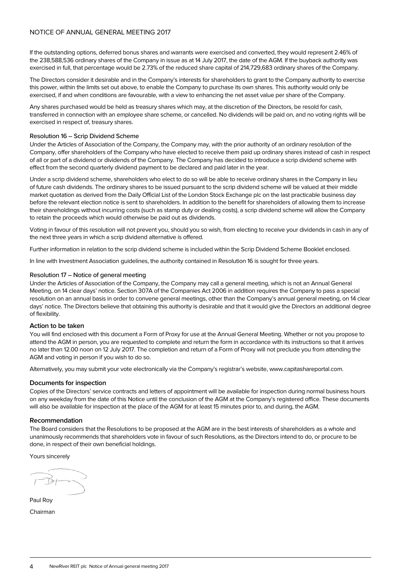# NOTICE OF ANNUAL GENERAL MEETING 2017

If the outstanding options, deferred bonus shares and warrants were exercised and converted, they would represent 2.46% of the 238,588,536 ordinary shares of the Company in issue as at 14 July 2017, the date of the AGM. If the buyback authority was exercised in full, that percentage would be 2.73% of the reduced share capital of 214,729,683 ordinary shares of the Company.

The Directors consider it desirable and in the Company's interests for shareholders to grant to the Company authority to exercise this power, within the limits set out above, to enable the Company to purchase its own shares. This authority would only be exercised, if and when conditions are favourable, with a view to enhancing the net asset value per share of the Company.

Any shares purchased would be held as treasury shares which may, at the discretion of the Directors, be resold for cash, transferred in connection with an employee share scheme, or cancelled. No dividends will be paid on, and no voting rights will be exercised in respect of, treasury shares.

#### Resolution 16 – Scrip Dividend Scheme

Under the Articles of Association of the Company, the Company may, with the prior authority of an ordinary resolution of the Company, offer shareholders of the Company who have elected to receive them paid up ordinary shares instead of cash in respect of all or part of a dividend or dividends of the Company. The Company has decided to introduce a scrip dividend scheme with effect from the second quarterly dividend payment to be declared and paid later in the year.

Under a scrip dividend scheme, shareholders who elect to do so will be able to receive ordinary shares in the Company in lieu of future cash dividends. The ordinary shares to be issued pursuant to the scrip dividend scheme will be valued at their middle market quotation as derived from the Daily Official List of the London Stock Exchange plc on the last practicable business day before the relevant election notice is sent to shareholders. In addition to the benefit for shareholders of allowing them to increase their shareholdings without incurring costs (such as stamp duty or dealing costs), a scrip dividend scheme will allow the Company to retain the proceeds which would otherwise be paid out as dividends.

Voting in favour of this resolution will not prevent you, should you so wish, from electing to receive your dividends in cash in any of the next three years in which a scrip dividend alternative is offered.

Further information in relation to the scrip dividend scheme is included within the Scrip Dividend Scheme Booklet enclosed.

In line with Investment Association guidelines, the authority contained in Resolution 16 is sought for three years.

#### Resolution 17 – Notice of general meeting

Under the Articles of Association of the Company, the Company may call a general meeting, which is not an Annual General Meeting, on 14 clear days' notice. Section 307A of the Companies Act 2006 in addition requires the Company to pass a special resolution on an annual basis in order to convene general meetings, other than the Company's annual general meeting, on 14 clear days' notice. The Directors believe that obtaining this authority is desirable and that it would give the Directors an additional degree of flexibility.

#### **Action to be taken**

You will find enclosed with this document a Form of Proxy for use at the Annual General Meeting. Whether or not you propose to attend the AGM in person, you are requested to complete and return the form in accordance with its instructions so that it arrives no later than 12.00 noon on 12 July 2017. The completion and return of a Form of Proxy will not preclude you from attending the AGM and voting in person if you wish to do so.

Alternatively, you may submit your vote electronically via the Company's registrar's website, www.capitashareportal.com.

#### **Documents for inspection**

Copies of the Directors' service contracts and letters of appointment will be available for inspection during normal business hours on any weekday from the date of this Notice until the conclusion of the AGM at the Company's registered office. These documents will also be available for inspection at the place of the AGM for at least 15 minutes prior to, and during, the AGM.

#### **Recommendation**

The Board considers that the Resolutions to be proposed at the AGM are in the best interests of shareholders as a whole and unanimously recommends that shareholders vote in favour of such Resolutions, as the Directors intend to do, or procure to be done, in respect of their own beneficial holdings.

Yours sincerely

Paul Roy Chairman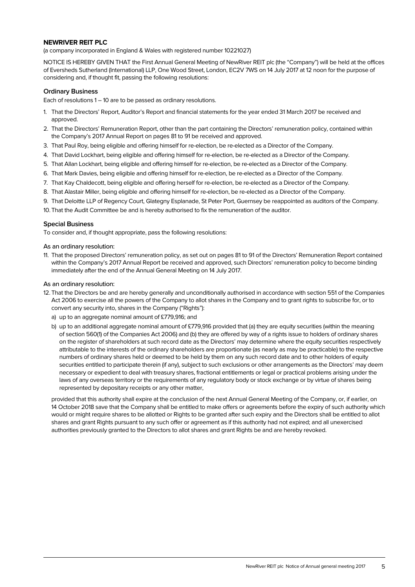# **NEWRIVER REIT PLC**

(a company incorporated in England & Wales with registered number 10221027)

NOTICE IS HEREBY GIVEN THAT the First Annual General Meeting of NewRiver REIT plc (the "Company") will be held at the offices of Eversheds Sutherland (International) LLP, One Wood Street, London, EC2V 7WS on 14 July 2017 at 12 noon for the purpose of considering and, if thought fit, passing the following resolutions:

## **Ordinary Business**

Each of resolutions 1 – 10 are to be passed as ordinary resolutions.

- 1. That the Directors' Report, Auditor's Report and financial statements for the year ended 31 March 2017 be received and approved.
- 2. That the Directors' Remuneration Report, other than the part containing the Directors' remuneration policy, contained within the Company's 2017 Annual Report on pages 81 to 91 be received and approved.
- 3. That Paul Roy, being eligible and offering himself for re-election, be re-elected as a Director of the Company.
- 4. That David Lockhart, being eligible and offering himself for re-election, be re-elected as a Director of the Company.
- 5. That Allan Lockhart, being eligible and offering himself for re-election, be re-elected as a Director of the Company.
- 6. That Mark Davies, being eligible and offering himself for re-election, be re-elected as a Director of the Company.
- 7. That Kay Chaldecott, being eligible and offering herself for re-election, be re-elected as a Director of the Company.
- 8. That Alastair Miller, being eligible and offering himself for re-election, be re-elected as a Director of the Company.
- 9. That Deloitte LLP of Regency Court, Glategny Esplanade, St Peter Port, Guernsey be reappointed as auditors of the Company.
- 10.That the Audit Committee be and is hereby authorised to fix the remuneration of the auditor.

#### **Special Business**

To consider and, if thought appropriate, pass the following resolutions:

#### As an ordinary resolution:

11. That the proposed Directors' remuneration policy, as set out on pages 81 to 91 of the Directors' Remuneration Report contained within the Company's 2017 Annual Report be received and approved, such Directors' remuneration policy to become binding immediately after the end of the Annual General Meeting on 14 July 2017.

#### As an ordinary resolution:

- 12.That the Directors be and are hereby generally and unconditionally authorised in accordance with section 551 of the Companies Act 2006 to exercise all the powers of the Company to allot shares in the Company and to grant rights to subscribe for, or to convert any security into, shares in the Company ("Rights"):
	- a) up to an aggregate nominal amount of £779,916; and
	- b) up to an additional aggregate nominal amount of  $£779,916$  provided that (a) they are equity securities (within the meaning of section 560(1) of the Companies Act 2006) and (b) they are offered by way of a rights issue to holders of ordinary shares on the register of shareholders at such record date as the Directors' may determine where the equity securities respectively attributable to the interests of the ordinary shareholders are proportionate (as nearly as may be practicable) to the respective numbers of ordinary shares held or deemed to be held by them on any such record date and to other holders of equity securities entitled to participate therein (if any), subject to such exclusions or other arrangements as the Directors' may deem necessary or expedient to deal with treasury shares, fractional entitlements or legal or practical problems arising under the laws of any overseas territory or the requirements of any regulatory body or stock exchange or by virtue of shares being represented by depositary receipts or any other matter,

provided that this authority shall expire at the conclusion of the next Annual General Meeting of the Company, or, if earlier, on 14 October 2018 save that the Company shall be entitled to make offers or agreements before the expiry of such authority which would or might require shares to be allotted or Rights to be granted after such expiry and the Directors shall be entitled to allot shares and grant Rights pursuant to any such offer or agreement as if this authority had not expired; and all unexercised authorities previously granted to the Directors to allot shares and grant Rights be and are hereby revoked.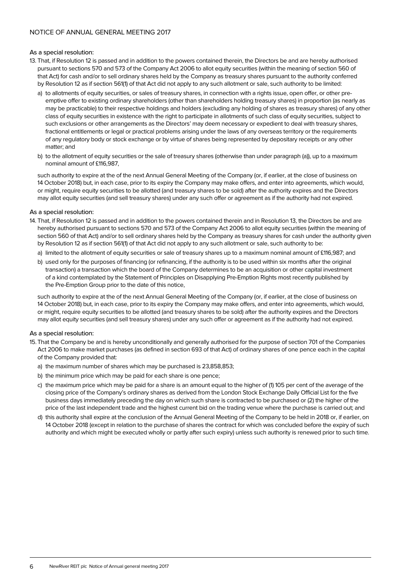# As a special resolution:

- 13. That, if Resolution 12 is passed and in addition to the powers contained therein, the Directors be and are hereby authorised pursuant to sections 570 and 573 of the Company Act 2006 to allot equity securities (within the meaning of section 560 of that Act) for cash and/or to sell ordinary shares held by the Company as treasury shares pursuant to the authority conferred by Resolution 12 as if section 561(1) of that Act did not apply to any such allotment or sale, such authority to be limited:
	- a) to allotments of equity securities, or sales of treasury shares, in connection with a rights issue, open offer, or other preemptive offer to existing ordinary shareholders (other than shareholders holding treasury shares) in proportion (as nearly as may be practicable) to their respective holdings and holders (excluding any holding of shares as treasury shares) of any other class of equity securities in existence with the right to participate in allotments of such class of equity securities, subject to such exclusions or other arrangements as the Directors' may deem necessary or expedient to deal with treasury shares, fractional entitlements or legal or practical problems arising under the laws of any overseas territory or the requirements of any regulatory body or stock exchange or by virtue of shares being represented by depositary receipts or any other matter; and
	- b) to the allotment of equity securities or the sale of treasury shares (otherwise than under paragraph (a)), up to a maximum nominal amount of £116,987,

such authority to expire at the of the next Annual General Meeting of the Company (or, if earlier, at the close of business on 14 October 2018) but, in each case, prior to its expiry the Company may make offers, and enter into agreements, which would, or might, require equity securities to be allotted (and treasury shares to be sold) after the authority expires and the Directors may allot equity securities (and sell treasury shares) under any such offer or agreement as if the authority had not expired.

#### As a special resolution:

- 14. That, if Resolution 12 is passed and in addition to the powers contained therein and in Resolution 13, the Directors be and are hereby authorised pursuant to sections 570 and 573 of the Company Act 2006 to allot equity securities (within the meaning of section 560 of that Act) and/or to sell ordinary shares held by the Company as treasury shares for cash under the authority given by Resolution 12 as if section 561(1) of that Act did not apply to any such allotment or sale, such authority to be:
	- a) limited to the allotment of equity securities or sale of treasury shares up to a maximum nominal amount of £116,987; and
	- b) used only for the purposes of financing (or refinancing, if the authority is to be used within six months after the original transaction) a transaction which the board of the Company determines to be an acquisition or other capital investment of a kind contemplated by the Statement of Principles on Disapplying Pre-Emption Rights most recently published by the Pre-Emption Group prior to the date of this notice,

such authority to expire at the of the next Annual General Meeting of the Company (or, if earlier, at the close of business on 14 October 2018) but, in each case, prior to its expiry the Company may make offers, and enter into agreements, which would, or might, require equity securities to be allotted (and treasury shares to be sold) after the authority expires and the Directors may allot equity securities (and sell treasury shares) under any such offer or agreement as if the authority had not expired.

#### As a special resolution:

- 15.That the Company be and is hereby unconditionally and generally authorised for the purpose of section 701 of the Companies Act 2006 to make market purchases (as defined in section 693 of that Act) of ordinary shares of one pence each in the capital of the Company provided that:
	- a) the maximum number of shares which may be purchased is 23,858,853;
	- b) the minimum price which may be paid for each share is one pence;
	- c) the maximum price which may be paid for a share is an amount equal to the higher of (1) 105 per cent of the average of the closing price of the Company's ordinary shares as derived from the London Stock Exchange Daily Official List for the five business days immediately preceding the day on which such share is contracted to be purchased or (2) the higher of the price of the last independent trade and the highest current bid on the trading venue where the purchase is carried out; and
	- d) this authority shall expire at the conclusion of the Annual General Meeting of the Company to be held in 2018 or, if earlier, on 14 October 2018 (except in relation to the purchase of shares the contract for which was concluded before the expiry of such authority and which might be executed wholly or partly after such expiry) unless such authority is renewed prior to such time.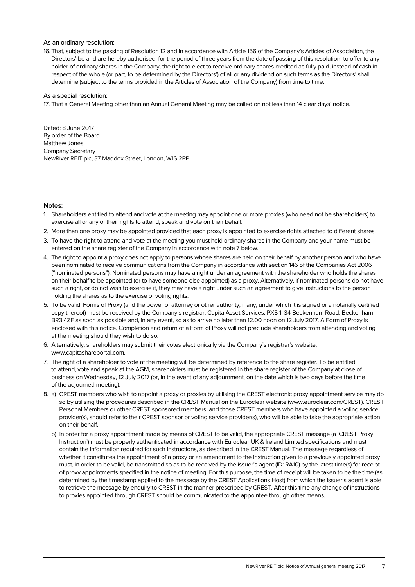#### As an ordinary resolution:

16.That, subject to the passing of Resolution 12 and in accordance with Article 156 of the Company's Articles of Association, the Directors' be and are hereby authorised, for the period of three years from the date of passing of this resolution, to offer to any holder of ordinary shares in the Company, the right to elect to receive ordinary shares credited as fully paid, instead of cash in respect of the whole (or part, to be determined by the Directors') of all or any dividend on such terms as the Directors' shall determine (subject to the terms provided in the Articles of Association of the Company) from time to time.

#### As a special resolution:

17. That a General Meeting other than an Annual General Meeting may be called on not less than 14 clear days' notice.

Dated: 8 June 2017 By order of the Board Matthew Jones Company Secretary NewRiver REIT plc, 37 Maddox Street, London, W1S 2PP

#### **Notes:**

- 1. Shareholders entitled to attend and vote at the meeting may appoint one or more proxies (who need not be shareholders) to exercise all or any of their rights to attend, speak and vote on their behalf.
- 2. More than one proxy may be appointed provided that each proxy is appointed to exercise rights attached to different shares.
- 3. To have the right to attend and vote at the meeting you must hold ordinary shares in the Company and your name must be entered on the share register of the Company in accordance with note 7 below.
- 4. The right to appoint a proxy does not apply to persons whose shares are held on their behalf by another person and who have been nominated to receive communications from the Company in accordance with section 146 of the Companies Act 2006 ("nominated persons"). Nominated persons may have a right under an agreement with the shareholder who holds the shares on their behalf to be appointed (or to have someone else appointed) as a proxy. Alternatively, if nominated persons do not have such a right, or do not wish to exercise it, they may have a right under such an agreement to give instructions to the person holding the shares as to the exercise of voting rights.
- 5. To be valid, Forms of Proxy (and the power of attorney or other authority, if any, under which it is signed or a notarially certified copy thereof) must be received by the Company's registrar, Capita Asset Services, PXS 1, 34 Beckenham Road, Beckenham BR3 4ZF as soon as possible and, in any event, so as to arrive no later than 12.00 noon on 12 July 2017. A Form of Proxy is enclosed with this notice. Completion and return of a Form of Proxy will not preclude shareholders from attending and voting at the meeting should they wish to do so.
- 6. Alternatively, shareholders may submit their votes electronically via the Company's registrar's website, www.capitashareportal.com.
- 7. The right of a shareholder to vote at the meeting will be determined by reference to the share register. To be entitled to attend, vote and speak at the AGM, shareholders must be registered in the share register of the Company at close of business on Wednesday, 12 July 2017 (or, in the event of any adjournment, on the date which is two days before the time of the adjourned meeting).
- 8. a) CREST members who wish to appoint a proxy or proxies by utilising the CREST electronic proxy appointment service may do so by utilising the procedures described in the CREST Manual on the Euroclear website (www.euroclear.com/CREST). CREST Personal Members or other CREST sponsored members, and those CREST members who have appointed a voting service provider(s), should refer to their CREST sponsor or voting service provider(s), who will be able to take the appropriate action on their behalf.
	- b) In order for a proxy appointment made by means of CREST to be valid, the appropriate CREST message (a 'CREST Proxy Instruction') must be properly authenticated in accordance with Euroclear UK & Ireland Limited specifications and must contain the information required for such instructions, as described in the CREST Manual. The message regardless of whether it constitutes the appointment of a proxy or an amendment to the instruction given to a previously appointed proxy must, in order to be valid, be transmitted so as to be received by the issuer's agent (ID: RA10) by the latest time(s) for receipt of proxy appointments specified in the notice of meeting. For this purpose, the time of receipt will be taken to be the time (as determined by the timestamp applied to the message by the CREST Applications Host) from which the issuer's agent is able to retrieve the message by enquiry to CREST in the manner prescribed by CREST. After this time any change of instructions to proxies appointed through CREST should be communicated to the appointee through other means.